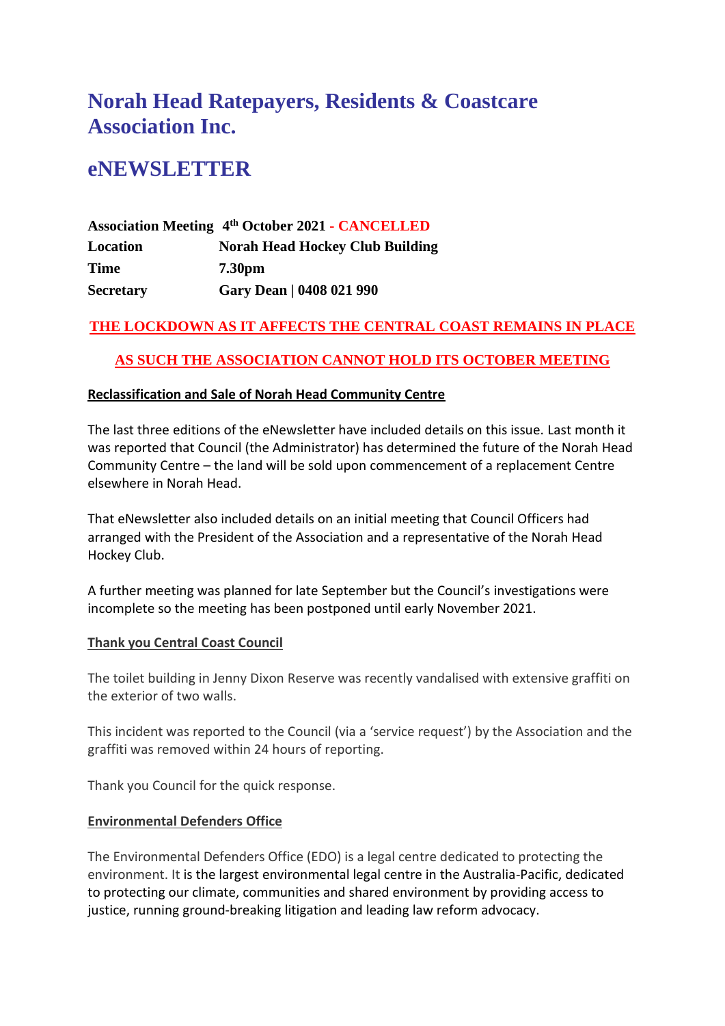# **Norah Head Ratepayers, Residents & Coastcare Association Inc.**

# **eNEWSLETTER**

|                  | <b>Association Meeting 4th October 2021 - CANCELLED</b> |
|------------------|---------------------------------------------------------|
| Location         | <b>Norah Head Hockey Club Building</b>                  |
| Time             | 7.30 <sub>pm</sub>                                      |
| <b>Secretary</b> | Gary Dean   0408 021 990                                |

# **THE LOCKDOWN AS IT AFFECTS THE CENTRAL COAST REMAINS IN PLACE**

# **AS SUCH THE ASSOCIATION CANNOT HOLD ITS OCTOBER MEETING**

# **Reclassification and Sale of Norah Head Community Centre**

The last three editions of the eNewsletter have included details on this issue. Last month it was reported that Council (the Administrator) has determined the future of the Norah Head Community Centre – the land will be sold upon commencement of a replacement Centre elsewhere in Norah Head.

That eNewsletter also included details on an initial meeting that Council Officers had arranged with the President of the Association and a representative of the Norah Head Hockey Club.

A further meeting was planned for late September but the Council's investigations were incomplete so the meeting has been postponed until early November 2021.

# **Thank you Central Coast Council**

The toilet building in Jenny Dixon Reserve was recently vandalised with extensive graffiti on the exterior of two walls.

This incident was reported to the Council (via a 'service request') by the Association and the graffiti was removed within 24 hours of reporting.

Thank you Council for the quick response.

#### **Environmental Defenders Office**

The Environmental Defenders Office (EDO) is a legal centre dedicated to protecting the environment. It is the largest environmental legal centre in the Australia-Pacific, dedicated to protecting our climate, communities and shared environment by providing access to justice, running ground-breaking litigation and leading law reform advocacy.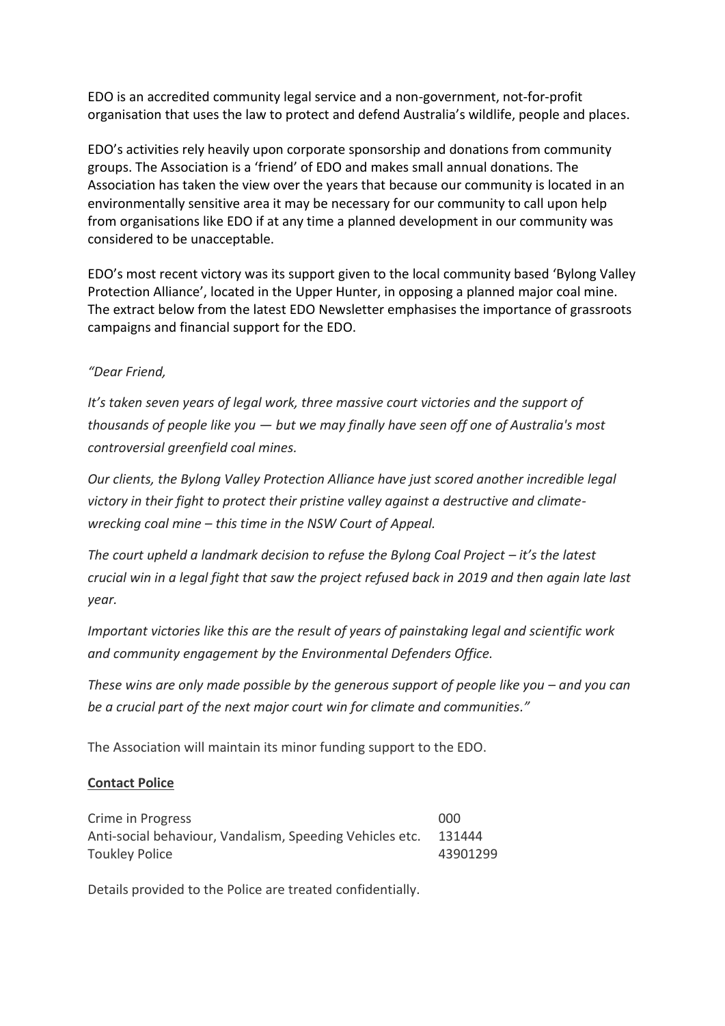EDO is an accredited community legal service and a non-government, not-for-profit organisation that uses the law to protect and defend Australia's wildlife, people and places.

EDO's activities rely heavily upon corporate sponsorship and donations from community groups. The Association is a 'friend' of EDO and makes small annual donations. The Association has taken the view over the years that because our community is located in an environmentally sensitive area it may be necessary for our community to call upon help from organisations like EDO if at any time a planned development in our community was considered to be unacceptable.

EDO's most recent victory was its support given to the local community based 'Bylong Valley Protection Alliance', located in the Upper Hunter, in opposing a planned major coal mine. The extract below from the latest EDO Newsletter emphasises the importance of grassroots campaigns and financial support for the EDO.

# *"Dear Friend,*

*It's taken seven years of legal work, three massive court victories and the support of thousands of people like you — but we may finally have seen off one of Australia's most controversial greenfield coal mines.*

*Our clients, the Bylong Valley Protection Alliance have just scored another incredible legal victory in their fight to protect their pristine valley against a destructive and climatewrecking coal mine – this time in the NSW Court of Appeal.*

*The court upheld a landmark decision to refuse the Bylong Coal Project – it's the latest crucial win in a legal fight that saw the project refused back in 2019 and then again late last year.*

*Important victories like this are the result of years of painstaking legal and scientific work and community engagement by the Environmental Defenders Office.*

*These wins are only made possible by the generous support of people like you – and you can be a crucial part of the next major court win for climate and communities."*

The Association will maintain its minor funding support to the EDO.

# **Contact Police**

| Crime in Progress                                        | 000      |
|----------------------------------------------------------|----------|
| Anti-social behaviour, Vandalism, Speeding Vehicles etc. | 131444   |
| <b>Toukley Police</b>                                    | 43901299 |

Details provided to the Police are treated confidentially.